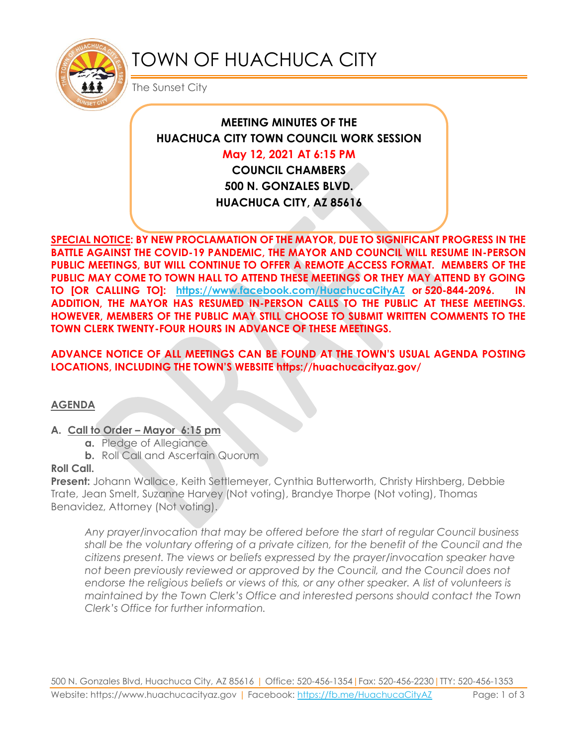

# TOWN OF HUACHUCA CITY

The Sunset City

# **MEETING MINUTES OF THE HUACHUCA CITY TOWN COUNCIL WORK SESSION**

# **May 12, 2021 AT 6:15 PM**

**COUNCIL CHAMBERS 500 N. GONZALES BLVD. HUACHUCA CITY, AZ 85616**

**SPECIAL NOTICE: BY NEW PROCLAMATION OF THE MAYOR, DUE TO SIGNIFICANT PROGRESS IN THE BATTLE AGAINST THE COVID-19 PANDEMIC, THE MAYOR AND COUNCIL WILL RESUME IN-PERSON PUBLIC MEETINGS, BUT WILL CONTINUE TO OFFER A REMOTE ACCESS FORMAT. MEMBERS OF THE PUBLIC MAY COME TO TOWN HALL TO ATTEND THESE MEETINGS OR THEY MAY ATTEND BY GOING TO [OR CALLING TO]: <https://www.facebook.com/HuachucaCityAZ> or 520-844-2096. IN ADDITION, THE MAYOR HAS RESUMED IN-PERSON CALLS TO THE PUBLIC AT THESE MEETINGS. HOWEVER, MEMBERS OF THE PUBLIC MAY STILL CHOOSE TO SUBMIT WRITTEN COMMENTS TO THE TOWN CLERK TWENTY-FOUR HOURS IN ADVANCE OF THESE MEETINGS.** 

# **ADVANCE NOTICE OF ALL MEETINGS CAN BE FOUND AT THE TOWN'S USUAL AGENDA POSTING LOCATIONS, INCLUDING THE TOWN'S WEBSITE https://huachucacityaz.gov/**

#### **AGENDA**

#### **A. Call to Order – Mayor 6:15 pm**

- **a.** Pledge of Allegiance
- **b.** Roll Call and Ascertain Quorum

#### **Roll Call.**

**Present:** Johann Wallace, Keith Settlemeyer, Cynthia Butterworth, Christy Hirshberg, Debbie Trate, Jean Smelt, Suzanne Harvey (Not voting), Brandye Thorpe (Not voting), Thomas Benavidez, Attorney (Not voting).

*Any prayer/invocation that may be offered before the start of regular Council business shall be the voluntary offering of a private citizen, for the benefit of the Council and the citizens present. The views or beliefs expressed by the prayer/invocation speaker have not been previously reviewed or approved by the Council, and the Council does not endorse the religious beliefs or views of this, or any other speaker. A list of volunteers is maintained by the Town Clerk's Office and interested persons should contact the Town Clerk's Office for further information.*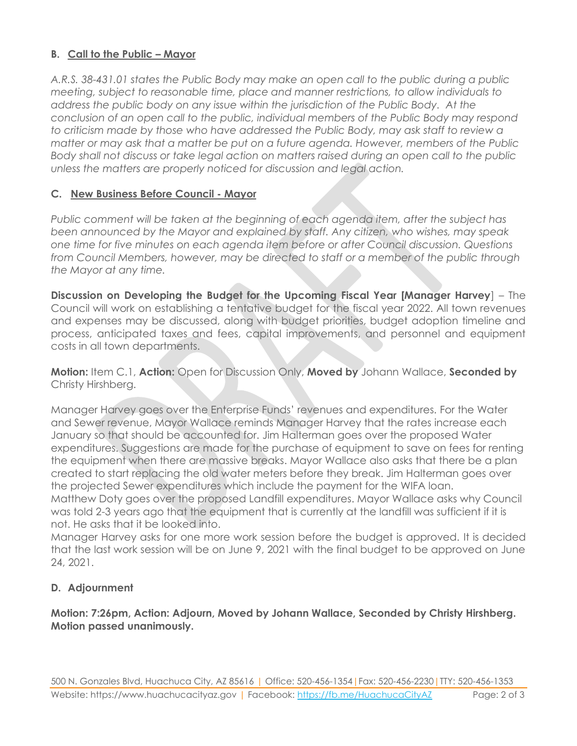# **B. Call to the Public – Mayor**

*A.R.S. 38-431.01 states the Public Body may make an open call to the public during a public meeting, subject to reasonable time, place and manner restrictions, to allow individuals to address the public body on any issue within the jurisdiction of the Public Body. At the conclusion of an open call to the public, individual members of the Public Body may respond to criticism made by those who have addressed the Public Body, may ask staff to review a matter or may ask that a matter be put on a future agenda. However, members of the Public Body shall not discuss or take legal action on matters raised during an open call to the public unless the matters are properly noticed for discussion and legal action.*

#### **C. New Business Before Council - Mayor**

*Public comment will be taken at the beginning of each agenda item, after the subject has been announced by the Mayor and explained by staff. Any citizen, who wishes, may speak one time for five minutes on each agenda item before or after Council discussion. Questions from Council Members, however, may be directed to staff or a member of the public through the Mayor at any time.* 

**Discussion on Developing the Budget for the Upcoming Fiscal Year [Manager Harvey**] – The Council will work on establishing a tentative budget for the fiscal year 2022. All town revenues and expenses may be discussed, along with budget priorities, budget adoption timeline and process, anticipated taxes and fees, capital improvements, and personnel and equipment costs in all town departments.

**Motion:** Item C.1, **Action:** Open for Discussion Only, **Moved by** Johann Wallace, **Seconded by** Christy Hirshberg.

Manager Harvey goes over the Enterprise Funds' revenues and expenditures. For the Water and Sewer revenue, Mayor Wallace reminds Manager Harvey that the rates increase each January so that should be accounted for. Jim Halterman goes over the proposed Water expenditures. Suggestions are made for the purchase of equipment to save on fees for renting the equipment when there are massive breaks. Mayor Wallace also asks that there be a plan created to start replacing the old water meters before they break. Jim Halterman goes over the projected Sewer expenditures which include the payment for the WIFA loan.

Matthew Doty goes over the proposed Landfill expenditures. Mayor Wallace asks why Council was told 2-3 years ago that the equipment that is currently at the landfill was sufficient if it is not. He asks that it be looked into.

Manager Harvey asks for one more work session before the budget is approved. It is decided that the last work session will be on June 9, 2021 with the final budget to be approved on June 24, 2021.

#### **D. Adjournment**

#### **Motion: 7:26pm, Action: Adjourn, Moved by Johann Wallace, Seconded by Christy Hirshberg. Motion passed unanimously.**